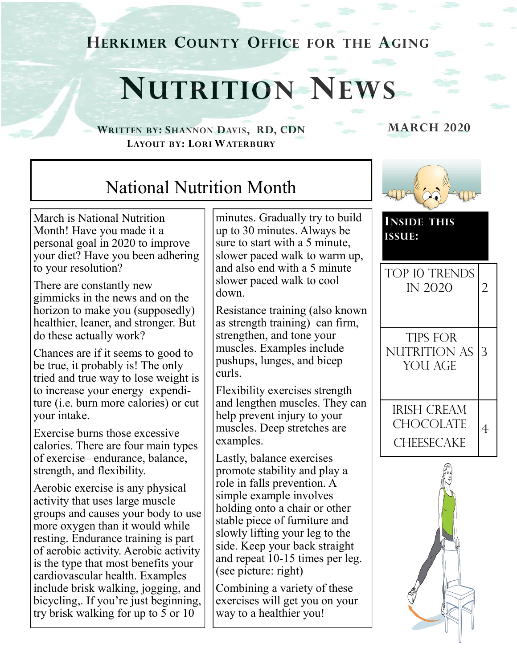**HERKIMER COUNTY OFFICE FOR THE AGING**

## **NUTRITION NEWS**

**WRITTEN BY: SHANNON DAVIS, RD, CDN MARCH 2020 LAYOUT BY: LORI WATERBURY**

## National Nutrition Month

March is National Nutrition Month! Have you made it a personal goal in 2020 to improve your diet? Have you been adhering to your resolution?

There are constantly new gimmicks in the news and on the horizon to make you (supposedly) healthier, leaner, and stronger. But do these actually work?

Chances are if it seems to good to be true, it probably is! The only tried and true way to lose weight is to increase your energy expenditure (i.e. burn more calories) or cut your intake.

Exercise burns those excessive calories. There are four main types of exercise– endurance, balance, strength, and flexibility.

Aerobic exercise is any physical activity that uses large muscle groups and causes your body to use more oxygen than it would while resting. Endurance training is part of aerobic activity. Aerobic activity is the type that most benefits your cardiovascular health. Examples include brisk walking, jogging, and bicycling,. If you're just beginning, try brisk walking for up to 5 or 10

minutes. Gradually try to build up to 30 minutes. Always be sure to start with a 5 minute, slower paced walk to warm up, and also end with a 5 minute slower paced walk to cool down.

Resistance training (also known as strength training) can firm, strengthen, and tone your muscles. Examples include pushups, lunges, and bicep curls.

Flexibility exercises strength and lengthen muscles. They can help prevent injury to your muscles. Deep stretches are examples.

Lastly, balance exercises promote stability and play a role in falls prevention. A simple example involves holding onto a chair or other stable piece of furniture and slowly lifting your leg to the side. Keep your back straight and repeat 10-15 times per leg. (see picture: right)

Combining a variety of these exercises will get you on your way to a healthier you!



**INSIDE THIS ISSUE:**



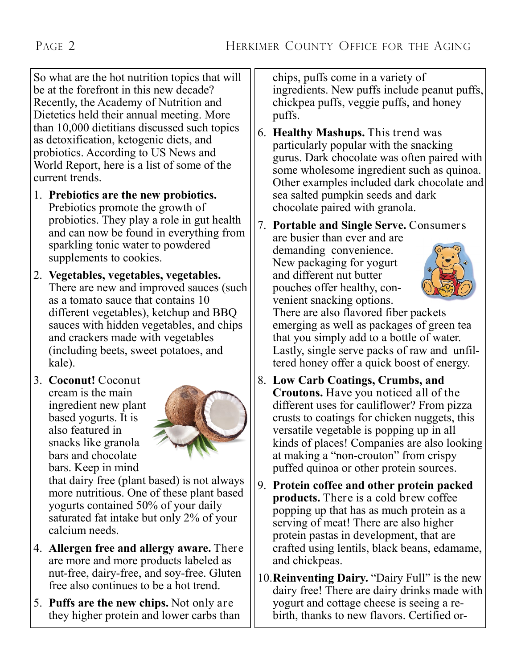So what are the hot nutrition topics that will be at the forefront in this new decade? Recently, the Academy of Nutrition and Dietetics held their annual meeting. More than 10,000 dietitians discussed such topics as detoxification, ketogenic diets, and probiotics. According to US News and World Report, here is a list of some of the current trends.

- 1. **Prebiotics are the new probiotics.**  Prebiotics promote the growth of probiotics. They play a role in gut health and can now be found in everything from sparkling tonic water to powdered supplements to cookies.
- 2. **Vegetables, vegetables, vegetables.**  There are new and improved sauces (such as a tomato sauce that contains 10 different vegetables), ketchup and BBQ sauces with hidden vegetables, and chips and crackers made with vegetables (including beets, sweet potatoes, and kale).
- 3. **Coconut!** Coconut cream is the main ingredient new plant based yogurts. It is also featured in snacks like granola bars and chocolate bars. Keep in mind



that dairy free (plant based) is not always more nutritious. One of these plant based yogurts contained 50% of your daily saturated fat intake but only 2% of your calcium needs.

- 4. **Allergen free and allergy aware.** There are more and more products labeled as nut-free, dairy-free, and soy-free. Gluten free also continues to be a hot trend.
- 5. **Puffs are the new chips.** Not only are they higher protein and lower carbs than

chips, puffs come in a variety of ingredients. New puffs include peanut puffs, chickpea puffs, veggie puffs, and honey puffs.

6. **Healthy Mashups.** This trend was particularly popular with the snacking gurus. Dark chocolate was often paired with some wholesome ingredient such as quinoa. Other examples included dark chocolate and sea salted pumpkin seeds and dark chocolate paired with granola.

7. **Portable and Single Serve.** Consumers

are busier than ever and are demanding convenience. New packaging for yogurt and different nut butter pouches offer healthy, convenient snacking options.



There are also flavored fiber packets emerging as well as packages of green tea that you simply add to a bottle of water. Lastly, single serve packs of raw and unfiltered honey offer a quick boost of energy.

- 8. **Low Carb Coatings, Crumbs, and Croutons.** Have you noticed all of the different uses for cauliflower? From pizza crusts to coatings for chicken nuggets, this versatile vegetable is popping up in all kinds of places! Companies are also looking at making a "non-crouton" from crispy puffed quinoa or other protein sources.
- 9. **Protein coffee and other protein packed products.** There is a cold brew coffee popping up that has as much protein as a serving of meat! There are also higher protein pastas in development, that are crafted using lentils, black beans, edamame, and chickpeas.
- 10.**Reinventing Dairy.** "Dairy Full" is the new dairy free! There are dairy drinks made with yogurt and cottage cheese is seeing a rebirth, thanks to new flavors. Certified or-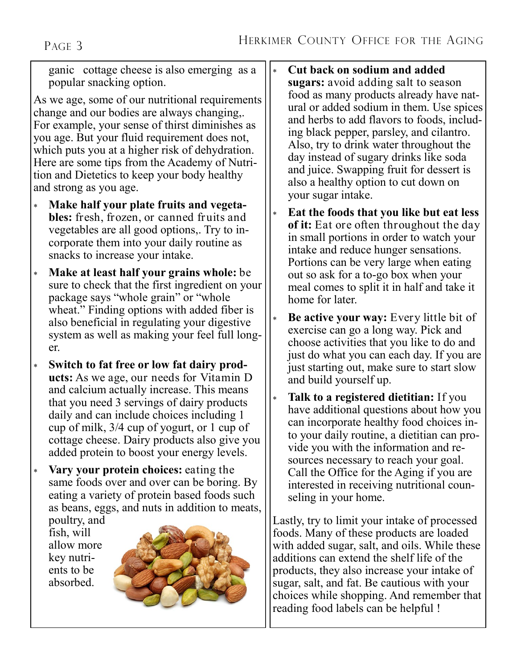ganic cottage cheese is also emerging as a popular snacking option.

As we age, some of our nutritional requirements change and our bodies are always changing,. For example, your sense of thirst diminishes as you age. But your fluid requirement does not, which puts you at a higher risk of dehydration. Here are some tips from the Academy of Nutrition and Dietetics to keep your body healthy and strong as you age.

- **Make half your plate fruits and vegetables:** fresh, frozen, or canned fruits and vegetables are all good options,. Try to incorporate them into your daily routine as snacks to increase your intake.
- **Make at least half your grains whole:** be sure to check that the first ingredient on your package says "whole grain" or "whole wheat." Finding options with added fiber is also beneficial in regulating your digestive system as well as making your feel full longer.
- **Switch to fat free or low fat dairy products:** As we age, our needs for Vitamin D and calcium actually increase. This means that you need 3 servings of dairy products daily and can include choices including 1 cup of milk, 3/4 cup of yogurt, or 1 cup of cottage cheese. Dairy products also give you added protein to boost your energy levels.
- **Vary your protein choices:** eating the same foods over and over can be boring. By eating a variety of protein based foods such as beans, eggs, and nuts in addition to meats,

poultry, and fish, will allow more key nutrients to be absorbed.



 **Cut back on sodium and added sugars:** avoid adding salt to season food as many products already have natural or added sodium in them. Use spices and herbs to add flavors to foods, including black pepper, parsley, and cilantro. Also, try to drink water throughout the day instead of sugary drinks like soda and juice. Swapping fruit for dessert is also a healthy option to cut down on your sugar intake.

- **Eat the foods that you like but eat less of it:** Eat ore often throughout the day in small portions in order to watch your intake and reduce hunger sensations. Portions can be very large when eating out so ask for a to-go box when your meal comes to split it in half and take it home for later.
- **Be active your way:** Every little bit of exercise can go a long way. Pick and choose activities that you like to do and just do what you can each day. If you are just starting out, make sure to start slow and build yourself up.
- **Talk to a registered dietitian:** If you have additional questions about how you can incorporate healthy food choices into your daily routine, a dietitian can provide you with the information and resources necessary to reach your goal. Call the Office for the Aging if you are interested in receiving nutritional counseling in your home.

Lastly, try to limit your intake of processed foods. Many of these products are loaded with added sugar, salt, and oils. While these additions can extend the shelf life of the products, they also increase your intake of sugar, salt, and fat. Be cautious with your choices while shopping. And remember that reading food labels can be helpful !